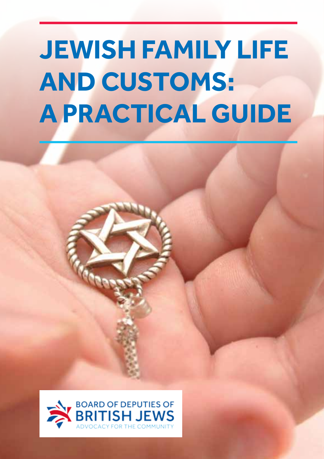# **Jewish Family liFe and Customs: a PraCtiCal Guide**

JEWISH FAMILY LIFE AND CUSTOMS: A PRACTICAL GUIDE

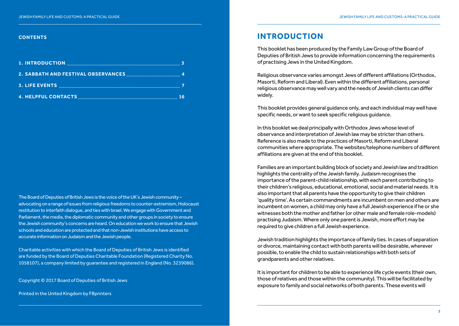#### **Contents**

| <b>1. INTRODUCTION</b>                     |  |
|--------------------------------------------|--|
| <b>2. SABBATH AND FESTIVAL OBSERVANCES</b> |  |
| <b>3. LIFE EVENTS</b>                      |  |
| <b>4. HELPFUL CONTACTS</b>                 |  |

The Board of Deputies of British Jews is the voice of the UK's Jewish community – advocating on a range of issues from religious freedoms to counter-extremism, Holocaust restitution to interfaith dialogue, and ties with Israel. We engage with Government and Parliament, the media, the diplomatic community and other groups in society to ensure the Jewish community's concerns are heard. On education we work to ensure that Jewish schools and education are protected and that non-Jewish institutions have access to accurate information on Judaism and the Jewish people.

Charitable activities with which the Board of Deputies of British Jews is identified are funded by the Board of Deputies Charitable Foundation (Registered Charity No. 1058107), a company limited by guarantee and registered in England (No. 3239086).

Copyright © 2017 Board of Deputies of British Jews

Printed in the United Kingdom by FBprinters

# **introduCtion**

This booklet has been produced by the Family Law Group of the Board of Deputies of British Jews to provide information concerning the requirements of practising Jews in the United Kingdom.

Religious observance varies amongst Jews of different affiliations (Orthodox, Masorti, Reform and Liberal). Even within the different affiliations, personal religious observance may well vary and the needs of Jewish clients can differ widely.

This booklet provides general guidance only, and each individual may well have specific needs, or want to seek specific religious guidance.

In this booklet we deal principally with Orthodox Jews whose level of observance and interpretation of Jewish law may be stricter than others. Reference is also made to the practices of Masorti, Reform and Liberal communities where appropriate. The websites/telephone numbers of different affiliations are given at the end of this booklet.

Families are an important building block of society and Jewish law and tradition highlights the centrality of the Jewish family. Judaism recognises the importance of the parent-child relationship, with each parent contributing to their children's religious, educational, emotional, social and material needs. It is also important that all parents have the opportunity to give their children 'quality time'. As certain commandments are incumbent on men and others are incumbent on women, a child may only have a full Jewish experience if he or she witnesses both the mother and father (or other male and female role-models) practising Judaism. Where only one parent is Jewish, more effort may be required to give children a full Jewish experience.

Jewish tradition highlights the importance of family ties. In cases of separation or divorce, maintaining contact with both parents will be desirable, wherever possible, to enable the child to sustain relationships with both sets of grandparents and other relatives.

It is important for children to be able to experience life cycle events (their own, those of relatives and those within the community). This will be facilitated by exposure to family and social networks of both parents. These events will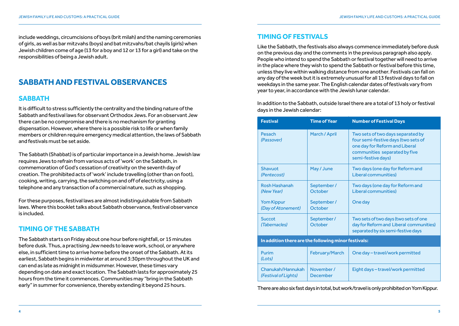include weddings, circumcisions of boys (brit milah) and the naming ceremonies of girls, as well as bar mitzvahs (boys) and bat mitzvahs/bat chayils (girls) when Jewish children come of age (13 for a boy and 12 or 13 for a girl) and take on the responsibilities of being a Jewish adult.

# **sabbath and Festival observanCes**

#### **SABBATH**

It is difficult to stress sufficiently the centrality and the binding nature of the Sabbath and festival laws for observant Orthodox Jews. For an observant Jew there can be no compromise and there is no mechanism for granting dispensation. However, where there is a possible risk to life or when family members or children require emergency medical attention, the laws of Sabbath and festivals must be set aside.

The Sabbath (Shabbat) is of particular importance in a Jewish home. Jewish law requires Jews to refrain from various acts of 'work' on the Sabbath, in commemoration of God's cessation of creativity on the seventh day of creation. The prohibited acts of 'work' include travelling (other than on foot), cooking, writing, carrying, the switching on and off of electricity, using a telephone and any transaction of a commercial nature, such as shopping.

For these purposes, festival laws are almost indistinguishable from Sabbath laws. Where this booklet talks about Sabbath observance, festival observance is included.

## **timinG oF the sabbath**

The Sabbath starts on Friday about one hour before nightfall, or 15 minutes before dusk. Thus, a practising Jew needs to leave work, school, or anywhere else, in sufficient time to arrive home before the onset of the Sabbath. At its earliest, Sabbath begins in midwinter at around 3:30pm throughout the UK and can end as late as midnight in midsummer. However, these times vary depending on date and exact location. The Sabbath lasts for approximately 25 hours from the time it commences. Communities may "bring in the Sabbath early" in summer for convenience, thereby extending it beyond 25 hours.

#### **timinG oF Festivals**

Like the Sabbath, the festivals also always commence immediately before dusk on the previous day and the comments in the previous paragraph also apply. People who intend to spend the Sabbath or festival together will need to arrive in the place where they wish to spend the Sabbath or festival before this time, unless they live within walking distance from one another. Festivals can fall on any day of the week but it is extremely unusual for all 13 festival days to fall on weekdays in the same year. The English calendar dates of festivals vary from year to year, in accordance with the Jewish lunar calendar.

In addition to the Sabbath, outside Israel there are a total of 13 holy or festival days in the Jewish calendar:

| <b>Festival</b>                                      | <b>Time of Year</b>    | <b>Number of Festival Days</b>                                                                                                                                    |
|------------------------------------------------------|------------------------|-------------------------------------------------------------------------------------------------------------------------------------------------------------------|
| Pesach<br><i>(Passover)</i>                          | March / April          | Two sets of two days separated by<br>four semi-festive days (two sets of<br>one day for Reform and Liberal<br>communities separated by five<br>semi-festive days) |
| Shavuot<br>(Pentecost)                               | May / June             | Two days (one day for Reform and<br>Liberal communities)                                                                                                          |
| Rosh Hashanah<br>(New Year)                          | September/<br>October  | Two days (one day for Reform and<br>Liberal communities)                                                                                                          |
| <b>Yom Kippur</b><br>(Day of Atonement)              | September /<br>October | One day                                                                                                                                                           |
| <b>Succot</b><br>(Tabernacles)                       | September/<br>October  | Two sets of two days (two sets of one<br>day for Reform and Liberal communities)<br>separated by six semi-festive days                                            |
| In addition there are the following minor festivals: |                        |                                                                                                                                                                   |
| Purim<br>(Lots)                                      | February/March         | One day - travel/work permitted                                                                                                                                   |
| Chanukah/Hannukah<br>(Festival of Lights)            | November /<br>December | Eight days-travel/work permitted                                                                                                                                  |

There are also six fast days in total, but work/travel is only prohibited on Yom Kippur.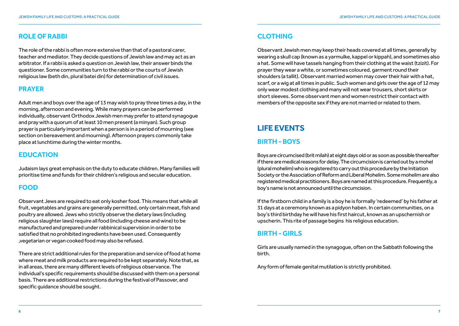## **role oF rabbi**

The role of the rabbi is often more extensive than that of a pastoral carer, teacher and mediator. They decide questions of Jewish law and may act as an arbitrator. If a rabbi is asked a question on Jewish law, their answer binds the questioner. Some communities turn to the rabbi or the courts of Jewish religious law (beth din, plural batei din) for determination of civil issues.

# **Prayer**

Adult men and boys over the age of 13 may wish to pray three times a day, in the morning, afternoon and evening. While many prayers can be performed individually, observant Orthodox Jewish men may prefer to attend synagogue and pray with a quorum of at least 10 men present (a minyan). Such group prayer is particularly important when a person is in a period of mourning (see section on bereavement and mourning). Afternoon prayers commonly take place at lunchtime during the winter months.

## **eduCation**

Judaism lays great emphasis on the duty to educate children. Many families will prioritise time and funds for their children's religious and secular education.

# **Food**

Observant Jews are required to eat only kosher food. This means that while all fruit, vegetables and grains are generally permitted, only certain meat, fish and poultry are allowed. Jews who strictly observe the dietary laws (including religious slaughter laws) require all food (including cheese and wine) to be manufactured and prepared under rabbinical supervision in order to be satisfied that no prohibited ingredients have been used. Consequently ,vegetarian or vegan cooked food may also be refused.

There are strict additional rules for the preparation and service of food at home where meat and milk products are required to be kept separately. Note that, as in all areas, there are many different levels of religious observance. The individual's specific requirements should be discussed with them on a personal basis. There are additional restrictions during the festival of Passover, and specific guidance should be sought.

# **ClothinG**

Observant Jewish men may keep their heads covered at all times, generally by wearing a skull cap (known as a yarmulke, kappel or kippah), and sometimes also a hat. Some will have tassels hanging from their clothing at the waist (tzizit). For prayer they wear a white, or sometimes coloured, garment round their shoulders (a tallit). Observant married women may cover their hair with a hat, scarf, or a wig at all times in public. Such women and girls over the age of 12 may only wear modest clothing and many will not wear trousers, short skirts or short sleeves. Some observant men and women restrict their contact with members of the opposite sex if they are not married or related to them.

# **liFe events**

# **birth - boys**

Boys are circumcised (brit milah) at eight days old or as soon as possible thereafter if there are medical reasons for delay. The circumcision is carried out by a mohel (plural mohelim) who is registered to carry out this procedure by the Initiation Society or the Association of Reform and Liberal Mohelim. Some mohelim are also registered medical practitioners. Boys are named at this procedure. Frequently, a boy's name is not announced until the circumcision.

If the firstborn child in a family is a boy he is formally 'redeemed' by his father at 31 days at a ceremony known as a pidyon haben. In certain communities, on a boy's third birthday he will have his first haircut, known as an upschernish or upscherin. This rite of passage begins his religious education.

# **birth - Girls**

Girls are usually named in the synagogue, often on the Sabbath following the birth.

Any form of female genital mutilation is strictly prohibited.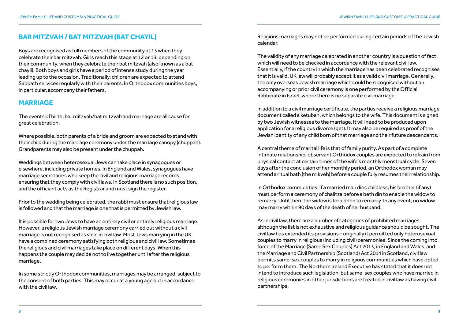# **bar mitZvah / bat mitZvah (bat Chayil)**

Boys are recognised as full members of the community at 13 when they celebrate their bar mitzvah. Girls reach this stage at 12 or 13, depending on their community, when they celebrate their bat mitzvah (also known as a bat chayil). Both boys and girls have a period of intense study during the year leading up to the occasion. Traditionally, children are expected to attend Sabbath services regularly with their parents. In Orthodox communities boys, in particular, accompany their fathers.

## **marriaGe**

The events of birth, bar mitzvah/bat mitzvah and marriage are all cause for great celebration.

Where possible, both parents of a bride and groom are expected to stand with their child during the marriage ceremony under the marriage canopy (chuppah). Grandparents may also be present under the chuppah.

Weddings between heterosexual Jews can take place in synagogues or elsewhere, including private homes. In England and Wales, synagogues have marriage secretaries who keep the civil and religious marriage records, ensuring that they comply with civil laws. In Scotland there is no such position, and the officiant acts as the Registrar and must sign the register.

Prior to the wedding being celebrated, the rabbi must ensure that religious law is followed and that the marriage is one that is permitted by Jewish law.

It is possible for two Jews to have an entirely civil or entirely religious marriage. However, a religious Jewish marriage ceremony carried out without a civil marriage is not recognised as valid in civil law. Most Jews marrying in the UK have a combined ceremony satisfying both religious and civil law. Sometimes the religious and civil marriages take place on different days. When this happens the couple may decide not to live together until after the religious marriage.

In some strictly Orthodox communities, marriages may be arranged, subject to the consent of both parties. This may occur at a young age but in accordance with the civil law.

Religious marriages may not be performed during certain periods of the Jewish calendar.

The validity of any marriage celebrated in another country is a question of fact which will need to be checked in accordance with the relevant civil law. Essentially, if the country in which the marriage has been celebrated recognises that it is valid, UK law will probably accept it as a valid civil marriage. Generally, the only overseas Jewish marriage which could be recognised without an accompanying or prior civil ceremony is one performed by the Official Rabbinate in Israel, where there is no separate civil marriage.

In addition to a civil marriage certificate, the parties receive a religious marriage document called a ketubah, which belongs to the wife. This document is signed by two Jewish witnesses to the marriage. It will need to be produced upon application for a religious divorce (get). It may also be required as proof of the Jewish identity of any child born of that marriage and their future descendants.

A central theme of marital life is that of family purity. As part of a complete intimate relationship, observant Orthodox couples are expected to refrain from physical contact at certain times of the wife's monthly menstrual cycle. Seven days after the conclusion of her monthly period, an Orthodox woman may attend a ritual bath (the mikveh) before a couple fully resumes their relationship.

In Orthodox communities, if a married man dies childless, his brother (if any) must perform a ceremony of chalitza before a beth din to enable the widow to remarry. Until then, the widow is forbidden to remarry. In any event, no widow may marry within 90 days of the death of her husband.

As in civil law, there are a number of categories of prohibited marriages although the list is not exhaustive and religious guidance should be sought. The civil law has extended its provisions – originally it permitted only heterosexual couples to marry in religious (including civil) ceremonies. Since the coming into force of the Marriage (Same Sex Couples) Act 2013, in England and Wales, and the Marriage and Civil Partnership (Scotland) Act 2014 in Scotland, civil law permits same-sex couples to marry in religious communities which have opted to perform them. The Northern Ireland Executive has stated that it does not intend to introduce such legislation, but same-sex couples who have married in religious ceremonies in other jurisdictions are treated in civil law as having civil partnerships.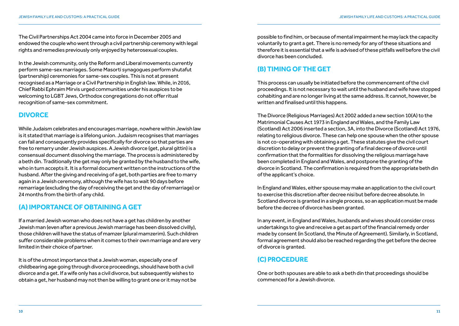The Civil Partnerships Act 2004 came into force in December 2005 and endowed the couple who went through a civil partnership ceremony with legal rights and remedies previously only enjoyed by heterosexual couples.

In the Jewish community, only the Reform and Liberal movements currently perform same-sex marriages. Some Masorti synagogues perform shutafut (partnership) ceremonies for same-sex couples. This is not at present recognised as a Marriage or a Civil Partnership in English law. While, in 2016, Chief Rabbi Ephraim Mirvis urged communities under his auspices to be welcoming to LGBT Jews, Orthodox congregations do not offer ritual recognition of same-sex commitment.

# **divorCe**

While Judaism celebrates and encourages marriage, nowhere within Jewish law is it stated that marriage is a lifelong union. Judaism recognises that marriages can fail and consequently provides specifically for divorce so that parties are free to remarry under Jewish auspices. A Jewish divorce (get, plural gittin) is a consensual document dissolving the marriage. The process is administered by a beth din. Traditionally the get may only be granted by the husband to the wife, who in turn accepts it. It is a formal document written on the instructions of the husband. After the giving and receiving of a get, both parties are free to marry again in a Jewish ceremony, although the wife has to wait 90 days before remarriage (excluding the day of receiving the get and the day of remarriage) or 24 months from the birth of any child.

# **(a) imPortanCe oF obtaininG a Get**

If a married Jewish woman who does not have a get has children by another Jewish man (even after a previous Jewish marriage has been dissolved civilly), those children will have the status of mamzer (plural mamzerim). Such children suffer considerable problems when it comes to their own marriage and are very limited in their choice of partner.

It is of the utmost importance that a Jewish woman, especially one of childbearing age going through divorce proceedings, should have both a civil divorce and a get. If a wife only has a civil divorce, but subsequently wishes to obtain a get, her husband may not then be willing to grant one or it may not be possible to find him, or because of mental impairment he may lack the capacity voluntarily to grant a get. There is no remedy for any of these situations and therefore it is essential that a wife is advised of these pitfalls well before the civil divorce has been concluded.

# **(b) timinG oF the Get**

This process can usually be initiated before the commencement of the civil proceedings. It is not necessary to wait until the husband and wife have stopped cohabiting and are no longer living at the same address. It cannot, however, be written and finalised until this happens.

The Divorce (Religious Marriages) Act 2002 added a new section 10(A) to the Matrimonial Causes Act 1973 in England and Wales, and the Family Law (Scotland) Act 2006 inserted a section, 3A, into the Divorce (Scotland) Act 1976, relating to religious divorce. These can help one spouse when the other spouse is not co-operating with obtaining a get. These statutes give the civil court discretion to delay or prevent the granting of a final decree of divorce until confirmation that the formalities for dissolving the religious marriage have been completed in England and Wales, and postpone the granting of the divorce in Scotland. The confirmation is required from the appropriate beth din of the applicant's choice.

In England and Wales, either spouse may make an application to the civil court to exercise this discretion after decree nisi but before decree absolute. In Scotland divorce is granted in a single process, so an application must be made before the decree of divorce has been granted.

In any event, in England and Wales, husbands and wives should consider cross undertakings to give and receive a get as part of the financial remedy order made by consent (in Scotland, the Minute of Agreement). Similarly, in Scotland, formal agreement should also be reached regarding the get before the decree of divorce is granted.

# **(C) ProCedure**

One or both spouses are able to ask a beth din that proceedings should be commenced for a Jewish divorce.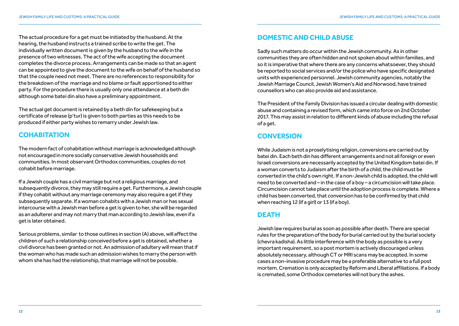The actual procedure for a get must be initiated by the husband. At the hearing, the husband instructs a trained scribe to write the get. The individually written document is given by the husband to the wife in the presence of two witnesses. The act of the wife accepting the document completes the divorce process. Arrangements can be made so that an agent can be appointed to give the document to the wife on behalf of the husband so that the couple need not meet. There are no references to responsibility for the breakdown of the marriage and no blame or fault apportioned to either party. For the procedure there is usually only one attendance at a beth din although some batei din also have a preliminary appointment.

The actual get document is retained by a beth din for safekeeping but a certificate of release (p'tur) is given to both parties as this needs to be produced if either party wishes to remarry under Jewish law.

# **Cohabitation**

The modern fact of cohabitation without marriage is acknowledged although not encouraged in more socially conservative Jewish households and communities. In most observant Orthodox communities, couples do not cohabit before marriage.

If a Jewish couple has a civil marriage but not a religious marriage, and subsequently divorce, they may still require a get. Furthermore, a Jewish couple if they cohabit without any marriage ceremony may also require a get if they subsequently separate. If a woman cohabits with a Jewish man or has sexual intercourse with a Jewish man before a get is given to her, she will be regarded as an adulterer and may not marry that man according to Jewish law, even if a get is later obtained.

Serious problems, similar to those outlines in section (A) above, will affect the children of such a relationship conceived before a get is obtained, whether a civil divorce has been granted or not. An admission of adultery will mean that if the woman who has made such an admission wishes to marry the person with whom she has had the relationship, that marriage will not be possible.

# **domestiC and Child abuse**

Sadly such matters do occur within the Jewish community. As in other communities they are often hidden and not spoken about within families, and so it is imperative that where there are any concerns whatsoever, they should be reported to social services and/or the police who have specific designated units with experienced personnel. Jewish community agencies, notably the Jewish Marriage Council, Jewish Women's Aid and Norwood, have trained counsellors who can also provide aid and assistance.

The President of the Family Division has issued a circular dealing with domestic abuse and containing a revised form, which came into force on 2nd October 2017. This may assist in relation to different kinds of abuse including the refusal of a get.

# **Conversion**

While Judaism is not a proselytising religion, conversions are carried out by batei din. Each beth din has different arrangements and not all foreign or even Israeli conversions are necessarily accepted by the United Kingdom batei din. If a woman converts to Judaism after the birth of a child, the child must be converted in the child's own right. If a non-Jewish child is adopted, the child will need to be converted and – in the case of a boy – a circumcision will take place. Circumcision cannot take place until the adoption process is complete. Where a child has been converted, that conversion has to be confirmed by that child when reaching 12 (if a girl) or 13 (if a boy).

## **DEATH**

Jewish law requires burial as soon as possible after death. There are special rules for the preparation of the body for burial carried out by the burial society (chevra kadisha). As little interference with the body as possible is a very important requirement, so a post mortem is actively discouraged unless absolutely necessary, although CT or MRI scans may be accepted. In some cases a non-invasive procedure may be a preferable alternative to a full post mortem. Cremation is only accepted by Reform and Liberal affiliations. If a body is cremated, some Orthodox cemeteries will not bury the ashes.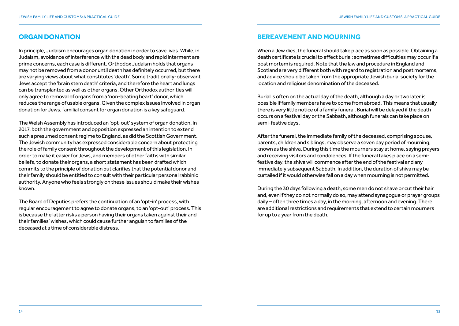# **orGan donation**

In principle, Judaism encourages organ donation in order to save lives. While, in Judaism, avoidance of interference with the dead body and rapid interment are prime concerns, each case is different. Orthodox Judaism holds that organs may not be removed from a donor until death has definitely occurred, but there are varying views about what constitutes 'death'. Some traditionally-observant Jews accept the 'brain stem death' criteria, and therefore the heart and lungs can be transplanted as well as other organs. Other Orthodox authorities will only agree to removal of organs from a 'non-beating heart' donor, which reduces the range of usable organs. Given the complex issues involved in organ donation for Jews, familial consent for organ donation is a key safeguard.

The Welsh Assembly has introduced an 'opt-out' system of organ donation. In 2017, both the government and opposition expressed an intention to extend such a presumed consent regime to England, as did the Scottish Government. The Jewish community has expressed considerable concern about protecting the role of family consent throughout the development of this legislation. In order to make it easier for Jews, and members of other faiths with similar beliefs, to donate their organs, a short statement has been drafted which commits to the principle of donation but clarifies that the potential donor and their family should be entitled to consult with their particular personal rabbinic authority. Anyone who feels strongly on these issues should make their wishes known.

The Board of Deputies prefers the continuation of an 'opt-in' process, with regular encouragement to agree to donate organs, to an 'opt-out' process. This is because the latter risks a person having their organs taken against their and their families' wishes, which could cause further anguish to families of the deceased at a time of considerable distress.

# **bereavement and mourninG**

When a Jew dies, the funeral should take place as soon as possible. Obtaining a death certificate is crucial to effect burial; sometimes difficulties may occur if a post mortem is required. Note that the law and procedure in England and Scotland are very different both with regard to registration and post mortems, and advice should be taken from the appropriate Jewish burial society for the location and religious denomination of the deceased.

Burial is often on the actual day of the death, although a day or two later is possible if family members have to come from abroad. This means that usually there is very little notice of a family funeral. Burial will be delayed if the death occurs on a festival day or the Sabbath, although funerals can take place on semi-festive days.

After the funeral, the immediate family of the deceased, comprising spouse, parents, children and siblings, may observe a seven day period of mourning, known as the shiva. During this time the mourners stay at home, saying prayers and receiving visitors and condolences. If the funeral takes place on a semifestive day, the shiva will commence after the end of the festival and any immediately subsequent Sabbath. In addition, the duration of shiva may be curtailed if it would otherwise fall on a day when mourning is not permitted.

During the 30 days following a death, some men do not shave or cut their hair and, even if they do not normally do so, may attend synagogue or prayer groups daily – often three times a day, in the morning, afternoon and evening. There are additional restrictions and requirements that extend to certain mourners for up to a year from the death.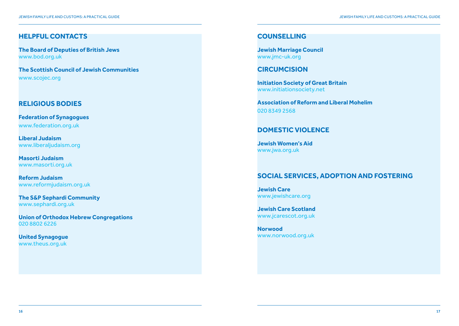## **helPFul ContaCts**

**The Board of Deputies of British Jews** www.bod.org.uk

**the scottish Council of Jewish Communities** www.scojec.org

## **reliGious bodies**

**Federation of synagogues** www.federation.org.uk

**liberal Judaism** www.liberaliudaism.org

**masorti Judaism** www.masorti.org.uk

**reform Judaism** www.reformjudaism.org.uk

**the s&P sephardi Community** www.sephardi.org.uk

**union of orthodox hebrew Congregations** 020 8802 6226

**united synagogue** www.theus.org.uk

#### **CounsellinG**

**Jewish marriage Council** www.jmc-uk.org

**CirCumCision** 

**initiation society of Great britain** www.initiationsociety.net

**Association of Reform and Liberal Mohelim** 020 8349 2568

## **domestiC violenCe**

**Jewish women's aid** www.jwa.org.uk

# **soCial serviCes, adoPtion and FosterinG**

**Jewish Care** www.jewishcare.org

**Jewish Care scotland** www.jcarescot.org.uk

**norwood** www.norwood.org.uk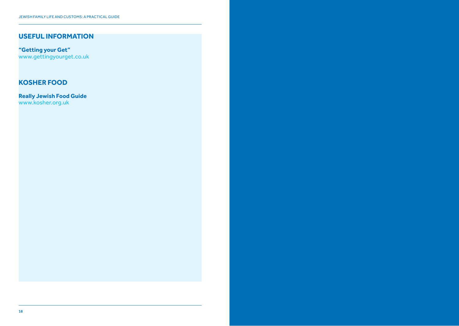# **useFul inFormation**

**"Getting your Get"** www.gettingyourget.co.uk

# **Kosher Food**

**really Jewish Food Guide** www.kosher.org.uk